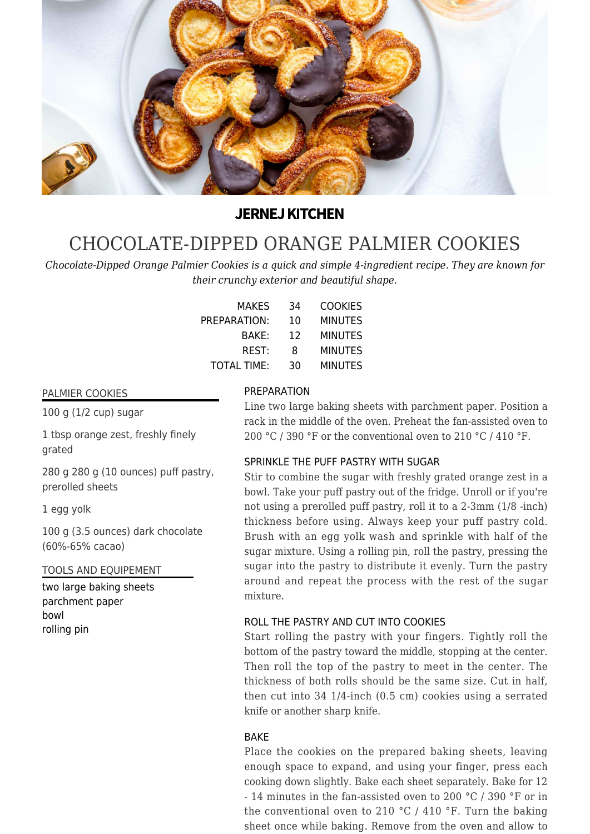

## **JERNEJ KITCHEN**

# [CHOCOLATE-DIPPED ORANGE PALMIER COOKIES](https://jernejkitchen.com/recipes/orange-palmier-cookies)

*Chocolate-Dipped Orange Palmier Cookies is a quick and simple 4-ingredient recipe. They are known for their crunchy exterior and beautiful shape.*

| <b>MAKES</b>       | 34 | <b>COOKIES</b> |
|--------------------|----|----------------|
| PREPARATION:       | 10 | <b>MINUTES</b> |
| BAKE:              | 12 | <b>MINUTES</b> |
| REST:              | 8  | <b>MINUTES</b> |
| <b>TOTAL TIME:</b> | 30 | <b>MINUTES</b> |

PREPARATION

#### PALMIER COOKIES

100 g (1/2 cup) sugar

1 tbsp orange zest, freshly finely grated

280 g 280 g (10 ounces) puff pastry, prerolled sheets

1 egg yolk

100 g (3.5 ounces) dark chocolate (60%-65% cacao)

TOOLS AND EQUIPEMENT

two large baking sheets parchment paper bowl rolling pin

Line two large baking sheets with parchment paper. Position a rack in the middle of the oven. Preheat the fan-assisted oven to 200 °C / 390 °F or the conventional oven to 210 °C / 410 °F.

#### SPRINKLE THE PUFF PASTRY WITH SUGAR

Stir to combine the sugar with freshly grated orange zest in a bowl. Take your puff pastry out of the fridge. Unroll or if you're not using a prerolled puff pastry, roll it to a 2-3mm (1/8 -inch) thickness before using. Always keep your puff pastry cold. Brush with an egg yolk wash and sprinkle with half of the sugar mixture. Using a rolling pin, roll the pastry, pressing the sugar into the pastry to distribute it evenly. Turn the pastry around and repeat the process with the rest of the sugar mixture.

#### ROLL THE PASTRY AND CUT INTO COOKIES

Start rolling the pastry with your fingers. Tightly roll the bottom of the pastry toward the middle, stopping at the center. Then roll the top of the pastry to meet in the center. The thickness of both rolls should be the same size. Cut in half, then cut into 34 1/4-inch (0.5 cm) cookies using a serrated knife or another sharp knife.

#### BAKE

Place the cookies on the prepared baking sheets, leaving enough space to expand, and using your finger, press each cooking down slightly. Bake each sheet separately. Bake for 12 - 14 minutes in the fan-assisted oven to 200 °C / 390 °F or in the conventional oven to 210 °C / 410 °F. Turn the baking sheet once while baking. Remove from the oven and allow to